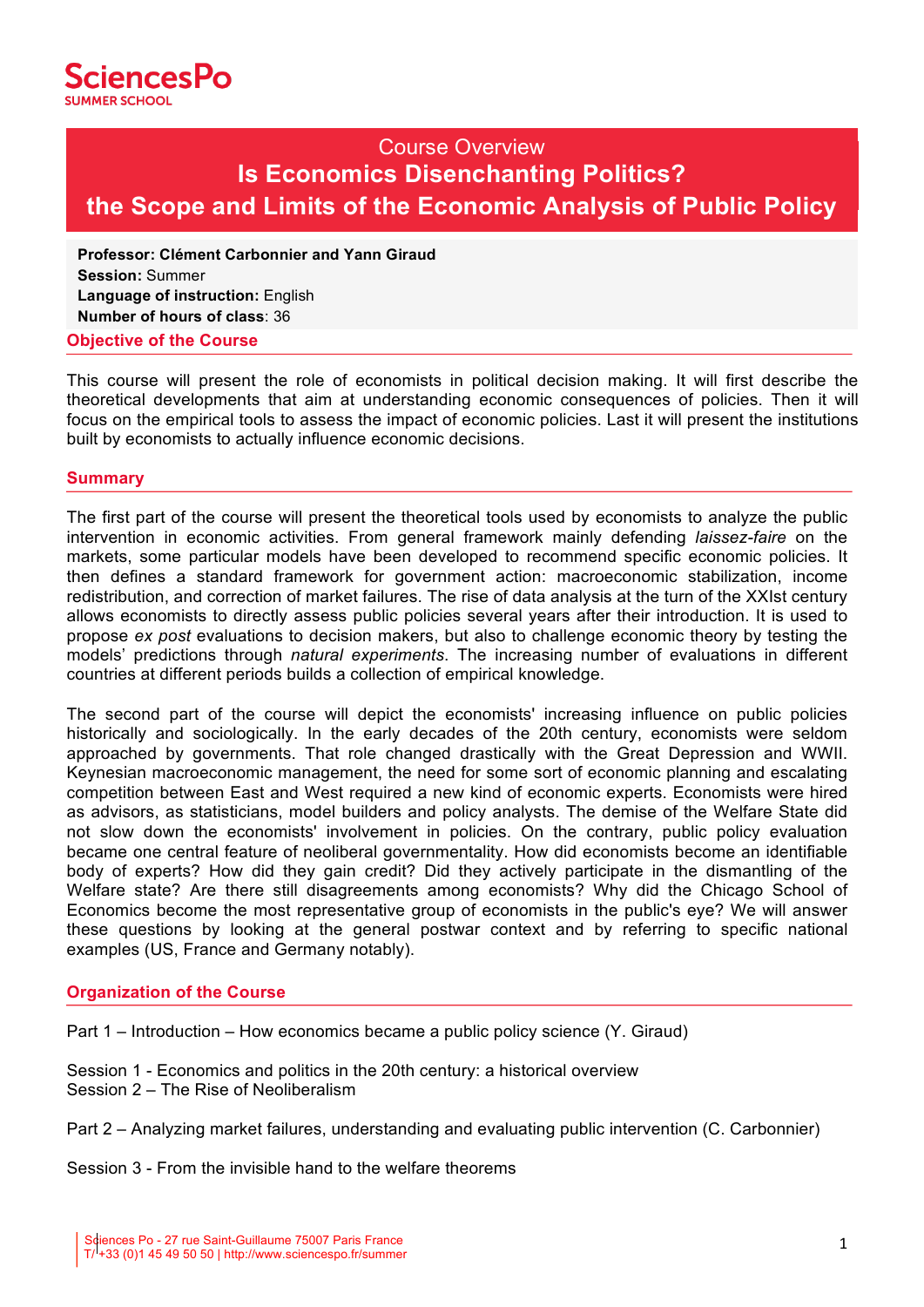

#### $30 \vee 6$ COURSE TITLE<br>COURSE TIME Course Overview **Is Economics Disenchanting Politics? the Scope and Limits of the Economic Analysis of Public Policy**

**Professor: Clément Carbonnier and Yann Giraud Session:** Summer **Language of instruction:** English **Number of hours of class**: 36

### **Objective of the Course**

This course will present the role of economists in political decision making. It will first describe the theoretical developments that aim at understanding economic consequences of policies. Then it will focus on the empirical tools to assess the impact of economic policies. Last it will present the institutions built by economists to actually influence economic decisions.

## **Summary**

The first part of the course will present the theoretical tools used by economists to analyze the public intervention in economic activities. From general framework mainly defending *laissez-faire* on the markets, some particular models have been developed to recommend specific economic policies. It then defines a standard framework for government action: macroeconomic stabilization, income redistribution, and correction of market failures. The rise of data analysis at the turn of the XXIst century allows economists to directly assess public policies several years after their introduction. It is used to propose *ex post* evaluations to decision makers, but also to challenge economic theory by testing the models' predictions through *natural experiments*. The increasing number of evaluations in different countries at different periods builds a collection of empirical knowledge.

The second part of the course will depict the economists' increasing influence on public policies historically and sociologically. In the early decades of the 20th century, economists were seldom approached by governments. That role changed drastically with the Great Depression and WWII. Keynesian macroeconomic management, the need for some sort of economic planning and escalating competition between East and West required a new kind of economic experts. Economists were hired as advisors, as statisticians, model builders and policy analysts. The demise of the Welfare State did not slow down the economists' involvement in policies. On the contrary, public policy evaluation became one central feature of neoliberal governmentality. How did economists become an identifiable body of experts? How did they gain credit? Did they actively participate in the dismantling of the Welfare state? Are there still disagreements among economists? Why did the Chicago School of Economics become the most representative group of economists in the public's eye? We will answer these questions by looking at the general postwar context and by referring to specific national examples (US, France and Germany notably).

## **Organization of the Course**

Part 1 – Introduction – How economics became a public policy science (Y. Giraud)

- Session 1 Economics and politics in the 20th century: a historical overview Session 2 – The Rise of Neoliberalism
- Part 2 Analyzing market failures, understanding and evaluating public intervention (C. Carbonnier)

Session 3 - From the invisible hand to the welfare theorems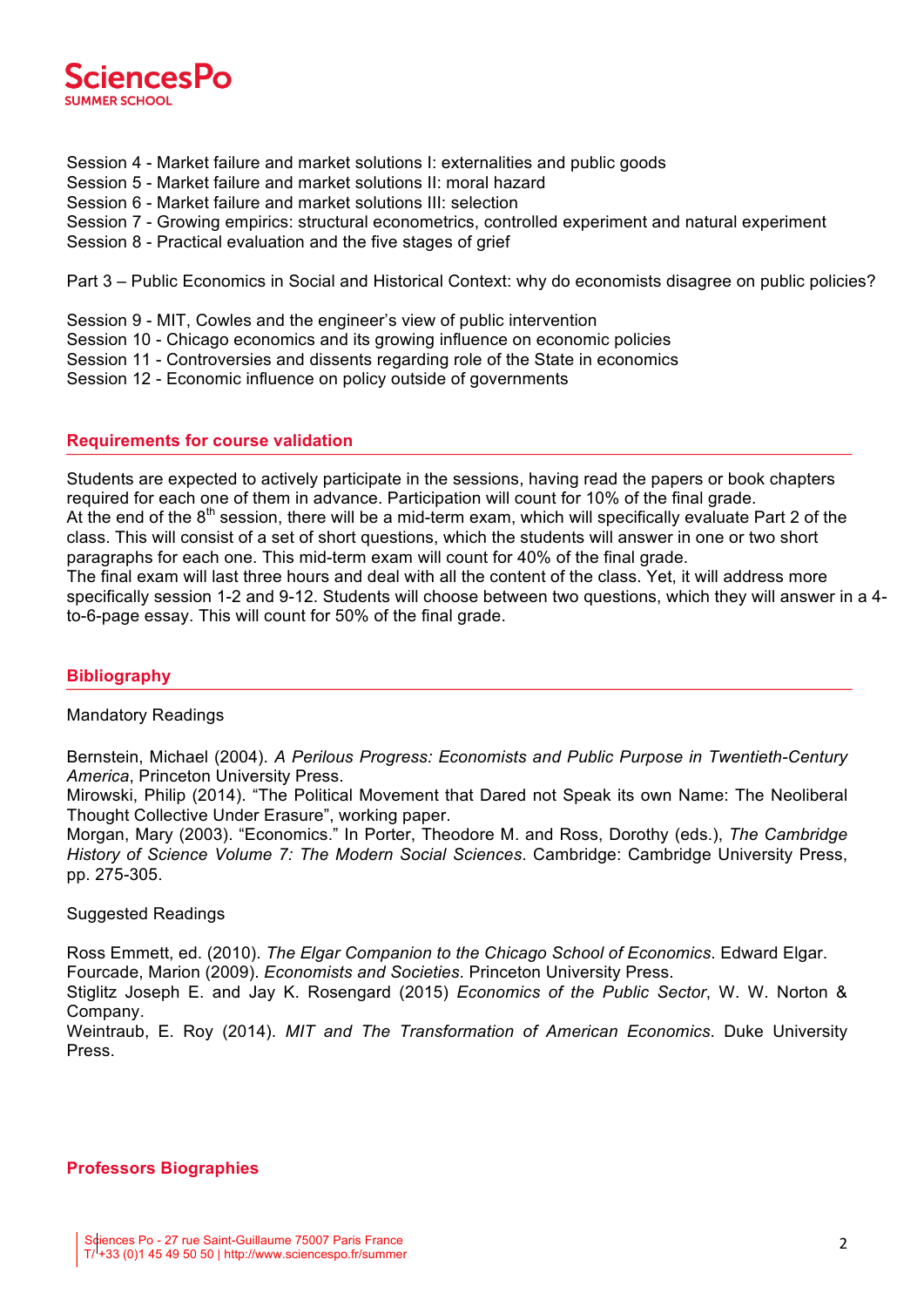

- Session 4 Market failure and market solutions I: externalities and public goods
- Session 5 Market failure and market solutions II: moral hazard
- Session 6 Market failure and market solutions III: selection
- Session 7 Growing empirics: structural econometrics, controlled experiment and natural experiment
- Session 8 Practical evaluation and the five stages of grief

Part 3 – Public Economics in Social and Historical Context: why do economists disagree on public policies?

- Session 9 MIT, Cowles and the engineer's view of public intervention
- Session 10 Chicago economics and its growing influence on economic policies
- Session 11 Controversies and dissents regarding role of the State in economics
- Session 12 Economic influence on policy outside of governments

## **Requirements for course validation**

Students are expected to actively participate in the sessions, having read the papers or book chapters required for each one of them in advance. Participation will count for 10% of the final grade. At the end of the  $8<sup>th</sup>$  session, there will be a mid-term exam, which will specifically evaluate Part 2 of the class. This will consist of a set of short questions, which the students will answer in one or two short paragraphs for each one. This mid-term exam will count for 40% of the final grade. The final exam will last three hours and deal with all the content of the class. Yet, it will address more specifically session 1-2 and 9-12. Students will choose between two questions, which they will answer in a 4 to-6-page essay. This will count for 50% of the final grade.

# **Bibliography**

## Mandatory Readings

Bernstein, Michael (2004). *A Perilous Progress: Economists and Public Purpose in Twentieth-Century America*, Princeton University Press.

Mirowski, Philip (2014). "The Political Movement that Dared not Speak its own Name: The Neoliberal Thought Collective Under Erasure", working paper.

Morgan, Mary (2003). "Economics." In Porter, Theodore M. and Ross, Dorothy (eds.), *The Cambridge History of Science Volume 7: The Modern Social Sciences*. Cambridge: Cambridge University Press, pp. 275-305.

## Suggested Readings

Ross Emmett, ed. (2010). *The Elgar Companion to the Chicago School of Economics*. Edward Elgar. Fourcade, Marion (2009). *Economists and Societies*. Princeton University Press.

Stiglitz Joseph E. and Jay K. Rosengard (2015) *Economics of the Public Sector*, W. W. Norton & Company.

Weintraub, E. Roy (2014). *MIT and The Transformation of American Economics*. Duke University Press.

# **Professors Biographies**